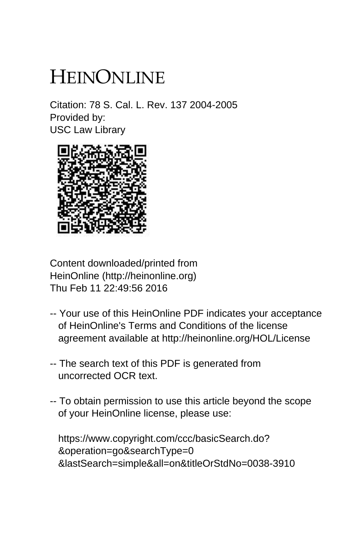# HEINONLINE

Citation: 78 S. Cal. L. Rev. 137 2004-2005 Provided by: USC Law Library



Content downloaded/printed from HeinOnline (http://heinonline.org) Thu Feb 11 22:49:56 2016

- -- Your use of this HeinOnline PDF indicates your acceptance of HeinOnline's Terms and Conditions of the license agreement available at http://heinonline.org/HOL/License
- -- The search text of this PDF is generated from uncorrected OCR text.
- -- To obtain permission to use this article beyond the scope of your HeinOnline license, please use:

 https://www.copyright.com/ccc/basicSearch.do? &operation=go&searchType=0 &lastSearch=simple&all=on&titleOrStdNo=0038-3910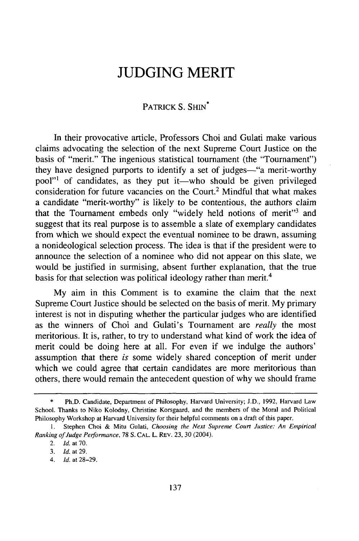# **JUDGING MERIT**

## PATRICK S. SHIN<sup>\*</sup>

In their provocative article, Professors Choi and Gulati make various claims advocating the selection of the next Supreme Court Justice on the basis of "merit." The ingenious statistical tournament (the "Tournament") they have designed purports to identify a set of judges—"a merit-worthy pool"<sup>1</sup> of candidates, as they put it—who should be given privileged consideration for future vacancies on the Court.2 Mindful that what makes a candidate "merit-worthy" is likely to be contentious, the authors claim that the Tournament embeds only "widely held notions of merit"<sup>3</sup> and suggest that its real purpose is to assemble a slate of exemplary candidates from which we should expect the eventual nominee to be drawn, assuming a nonideological selection process. The idea is that if the president were to announce the selection of a nominee who did not appear on this slate, we would be justified in surmising, absent further explanation, that the true basis for that selection was political ideology rather than merit.<sup>4</sup>

My aim in this Comment is to examine the claim that the next Supreme Court Justice should be selected on the basis of merit. My primary interest is not in disputing whether the particular judges who are identified as the winners of Choi and Gulati's Tournament are *really* the most meritorious. It is, rather, to try to understand what kind of work the idea of merit could be doing here at all. For even if we indulge the authors' assumption that there *is* some widely shared conception of merit under which we could agree that certain candidates are more meritorious than others, there would remain the antecedent question of why we should frame

Ph.D. Candidate, Department of Philosophy, Harvard University; J.D., 1992, Harvard Law School. Thanks to Niko Kolodny, Christine Korsgaard, and the members of the Moral and Political Philosophy Workshop at Harvard University for their helpful comments on a draft of this paper.

<sup>1.</sup> Stephen Choi & Mitu Gulati, *Choosing the Next Supreme Court Justice: An Empirical Ranking of Judge Performance,* 78 **S. CAL.** L. REV. 23, 30 (2004).

<sup>2.</sup> **Id.** at 70.

<sup>3.</sup> **Id.** *at 29.*

*<sup>4.</sup>* Id. at 28-29.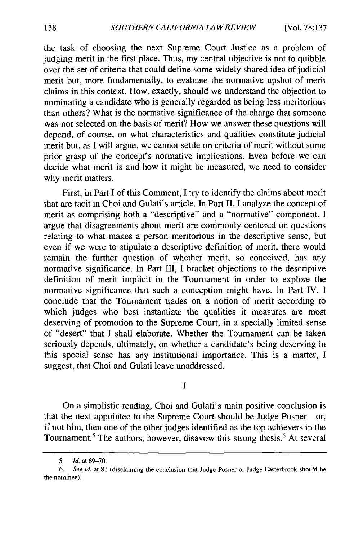the task of choosing the next Supreme Court Justice as a problem of judging merit in the first place. Thus, my central objective is not to quibble over the set of criteria that could define some widely shared idea of judicial merit but, more fundamentally, to evaluate the normative upshot of merit claims in this context. How, exactly, should we understand the objection to nominating a candidate who is generally regarded as being less meritorious than others? What is the normative significance of the charge that someone was not selected on the basis of merit? How we answer these questions will depend, of course, on what characteristics and qualities constitute judicial merit but, as I will argue, we cannot settle on criteria of merit without some prior grasp of the concept's normative implications. Even before we can decide what merit is and how it might be measured, we need to consider why merit matters.

First, in Part I of this Comment, I try to identify the claims about merit that are tacit in Choi and Gulati's article. In Part II, I analyze the concept of merit as comprising both a "descriptive" and a "normative" component. I argue that disagreements about merit are commonly centered on questions relating to what makes a person meritorious in the descriptive sense, but even if we were to stipulate a descriptive definition of merit, there would remain the further question of whether merit, so conceived, has any normative significance. In Part III, I bracket objections to the descriptive definition of merit implicit in the Tournament in order to explore the normative significance that such a conception might have. In Part IV, I conclude that the Tournament trades on a notion of merit according to which judges who best instantiate the qualities it measures are most deserving of promotion to the Supreme Court, in a specially limited sense of "desert" that I shall elaborate. Whether the Tournament can be taken seriously depends, ultimately, on whether a candidate's being deserving in this special sense has any institutional importance. This is a matter, I suggest, that Choi and Gulati leave unaddressed.

**I**

On a simplistic reading, Choi and Gulati's main positive conclusion is that the next appointee to the Supreme Court should be Judge Posner-or, if not him, then one of the other judges identified as the top achievers in the Tournament.<sup>5</sup> The authors, however, disavow this strong thesis.<sup>6</sup> At several

*<sup>5.</sup> Id.* at **69-70.**

*<sup>6.</sup> See id.* at 81 (disclaiming the conclusion that Judge Posner or Judge Easterbrook should be the nominee).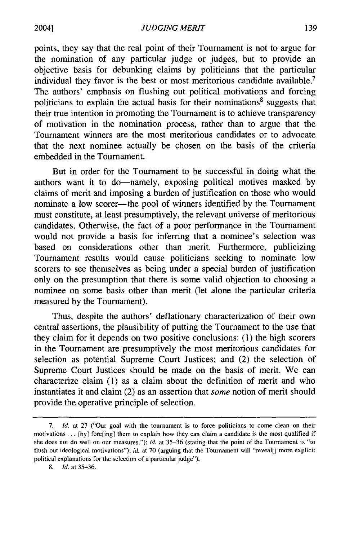points, they say that the real point of their Tournament is not to argue for the nomination of any particular judge or judges, but to provide an objective basis for debunking claims by politicians that the particular individual they favor is the best or most meritorious candidate available.<sup>7</sup> The authors' emphasis on flushing out political motivations and forcing politicians to explain the actual basis for their nominations<sup>8</sup> suggests that their true intention in promoting the Tournament is to achieve transparency of motivation in the nomination process, rather than to argue that the Tournament winners are the most meritorious candidates or to advocate that the next nominee actually be chosen on the basis of the criteria embedded in the Tournament.

But in order for the Tournament to be successful in doing what the authors want it to do-namely, exposing political motives masked by claims of merit and imposing a burden of justification on those who would nominate a low scorer-the pool of winners identified by the Tournament must constitute, at least presumptively, the relevant universe of meritorious candidates. Otherwise, the fact of a poor performance in the Tournament would not provide a basis for inferring that a nominee's selection was based on considerations other than merit. Furthermore, publicizing Tournament results would cause politicians seeking to nominate low scorers to see themselves as being under a special burden of justification only on the presumption that there is some valid objection to choosing a nominee on some basis other than merit (let alone the particular criteria measured by the Tournament).

Thus, despite the authors' deflationary characterization of their own central assertions, the plausibility of putting the Tournament to the use that they claim for it depends on two positive conclusions: (1) the high scorers in the Tournament are presumptively the most meritorious candidates for selection as potential Supreme Court Justices; and (2) the selection of Supreme Court Justices should be made on the basis of merit. We can characterize claim (1) as a claim about the definition of merit and who instantiates it and claim (2) as an assertion that *some* notion of merit should provide the operative principle of selection.

<sup>7.</sup> *Id.* at 27 ("Our goal with the tournament is to force politicians to come clean on their motivations ... [by] forc[ing] them to explain how they can claim a candidate is the most qualified if she does not do well on our measures."); *id.* at 35-36 (stating that the point of the Tournament is "to flush out ideological motivations"); *id.* at 70 (arguing that the Tournament will "reveal[] more explicit political explanations for the selection of a particular judge").

<sup>8.</sup> *Id.* at 35-36.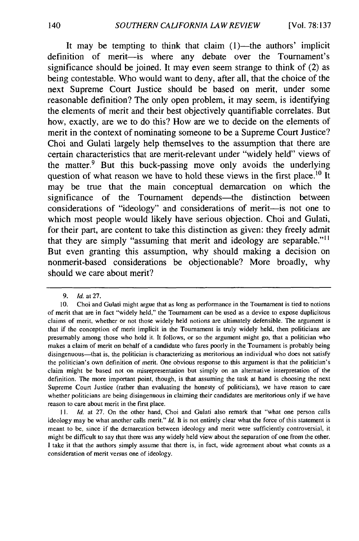It may be tempting to think that claim  $(1)$ —the authors' implicit definition of merit-is where any debate over the Tournament's significance should be joined. It may even seem strange to think of (2) as being contestable. Who would want to deny, after all, that the choice of the next Supreme Court Justice should be based on merit, under some reasonable definition? The only open problem, it may seem, is identifying the elements of merit and their best objectively quantifiable correlates. But how, exactly, are we to do this? How are we to decide on the elements of merit in the context of nominating someone to be a Supreme Court Justice? Choi and Gulati largely help themselves to the assumption that there are certain characteristics that are merit-relevant under "widely held" views of the matter.<sup>9</sup> But this buck-passing move only avoids the underlying question of what reason we have to hold these views in the first place.<sup>10</sup> It may be true that the main conceptual demarcation on which the significance of the Tournament depends—the distinction between considerations of "ideology" and considerations of merit-is not one to which most people would likely have serious objection. Choi and Gulati, for their part, are content to take this distinction as given: they freely admit that they are simply "assuming that merit and ideology are separable."<sup>11</sup> But even granting this assumption, why should making a decision on nonmerit-based considerations be objectionable? More broadly, why should we care about merit?

*<sup>9.</sup> Id.* at **27.**

**<sup>10.</sup>** Choi and Gulati might argue that as long as performance in the Tournament is tied to notions of merit that are in fact "widely held," the Tournament can be used as a device to expose duplicitous claims of merit, whether or not those widely held notions are ultimately defensible. The argument is that if the conception of merit implicit in the Tournament is truly widely held, then politicians are presumably among those who hold it. It follows, or so the argument might go, that a politician who makes a claim of merit on behalf of a candidate who fares poorly in the Tournament is probably being disingenuous—that is, the politician is characterizing as meritorious an individual who does not satisfy the politician's own definition of merit. One obvious response to this argument is that the politician's claim might be based not on misrepresentation but simply on an alternative interpretation of the definition. The more important point, though, is that assuming the task at hand is choosing the next Supreme Court Justice (rather than evaluating the honesty of politicians), we have reason to care whether politicians are being disingenuous in claiming their candidates are meritorious only if we have reason to care about merit in the first place.

**<sup>11.</sup>** *Id.* at **27.** On the other hand, Choi and Gulati also remark that "what one person calls ideology may be what another calls merit." *Id.* It is not entirely clear what the force of this statement is meant to be, since if the demarcation between ideology and merit were sufficiently controversial, it might **be** difficult to say that there was any widely held view about the separation of one from the other. **I** take it that the authors simply assume that there is, in fact, wide agreement about what counts as a consideration of merit versus one of ideology.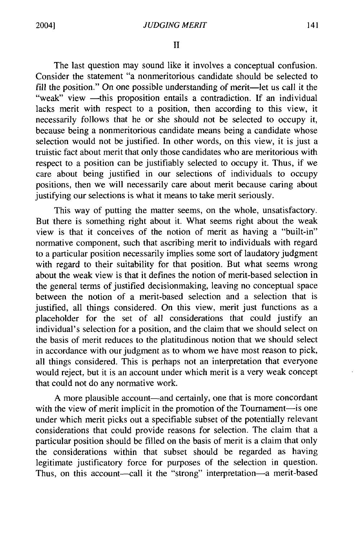II

The last question may sound like it involves a conceptual confusion. Consider the statement "a nonmeritorious candidate should be selected to fill the position." On one possible understanding of merit—let us call it the "weak" view -this proposition entails a contradiction. If an individual lacks merit with respect to a position, then according to this view, it necessarily follows that he or she should not be selected to occupy it, because being a nonmeritorious candidate means being a candidate whose selection would not be justified. In other words, on this view, it is just a truistic fact about merit that only those candidates who are meritorious with respect to a position can be justifiably selected to occupy it. Thus, if we care about being justified in our selections of individuals to occupy positions, then we will necessarily care about merit because caring about justifying our selections is what it means to take merit seriously.

This way of putting the matter seems, on the whole, unsatisfactory. But there is something right about it. What seems right about the weak view is that it conceives of the notion of merit as having a "built-in" normative component, such that ascribing merit to individuals with regard to a particular position necessarily implies some sort of laudatory judgment with regard to their suitability for that position. But what seems wrong about the weak view is that it defines the notion of merit-based selection in the general terms of justified decisionmaking, leaving no conceptual space between the notion of a merit-based selection and a selection that is justified, all things considered. On this view, merit just functions as a placeholder for the set of all considerations that could justify an individual's selection for a position, and the claim that we should select on the basis of merit reduces to the platitudinous notion that we should select in accordance with our judgment as to whom we have most reason to pick, all things considered. This is perhaps not an interpretation that everyone would reject, but it is an account under which merit is a very weak concept that could not do any normative work.

A more plausible account—and certainly, one that is more concordant with the view of merit implicit in the promotion of the Tournament-is one under which merit picks out a specifiable subset of the potentially relevant considerations that could provide reasons for selection. The claim that a particular position should be filled on the basis of merit is a claim that only the considerations within that subset should be regarded as having legitimate justificatory force for purposes of the selection in question. Thus, on this account---call it the "strong" interpretation--- a merit-based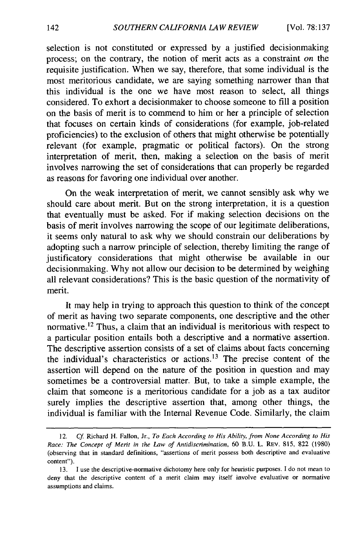selection is not constituted or expressed by a justified decisionmaking process; on the contrary, the notion of merit acts as a constraint *on* the requisite justification. When we say, therefore, that some individual is the most meritorious candidate, we are saying something narrower than that this individual is the one we have most reason to select, all things considered. To exhort a decisionmaker to choose someone to fill a position on the basis of merit is to commend to him or her a principle of selection that focuses on certain kinds of considerations (for example, job-related proficiencies) to the exclusion of others that might otherwise be potentially relevant (for example, pragmatic or political factors). On the strong interpretation of merit, then, making a selection on the basis of merit involves narrowing the set of considerations that can properly be regarded as reasons for favoring one individual over another.

On the weak interpretation of merit, we cannot sensibly ask why we should care about merit. But on the strong interpretation, it is a question that eventually must be asked. For if making selection decisions on the basis of merit involves narrowing the scope of our legitimate deliberations, it seems only natural to ask why we should constrain our deliberations by adopting such a narrow principle of selection, thereby limiting the range of justificatory considerations that might otherwise be available in our decisionmaking. Why not allow our decision to be determined by weighing all relevant considerations? This is the basic question of the normativity of merit.

It may help in trying to approach this question to think of the concept of merit as having two separate components, one descriptive and the other normative.<sup>12</sup> Thus, a claim that an individual is meritorious with respect to a particular position entails both a descriptive and a normative assertion. The descriptive assertion consists of a set of claims about facts concerning the individual's characteristics or actions.13 The precise content of the assertion will depend on the nature of the position in question and may sometimes be a controversial matter. But, to take a simple example, the claim that someone is a meritorious candidate for a job as a tax auditor surely implies the descriptive assertion that, among other things, the individual is familiar with the Internal Revenue Code. Similarly, the claim

<sup>12.</sup> *Cf* Richard H. Fallon, Jr., *To* Each *According to His Ability, from None According to His Race: The Concept of Merit in the Law of Antidiscrimination,* 60 B.U. L. REV. 815, 822 (1980) (observing that in standard definitions, "assertions of merit possess both descriptive and evaluative content").

<sup>13.</sup> I use the descriptive-normative dichotomy here only for heuristic purposes. I do not mean to deny that the descriptive content of a merit claim may itself involve evaluative or normative assumptions and claims.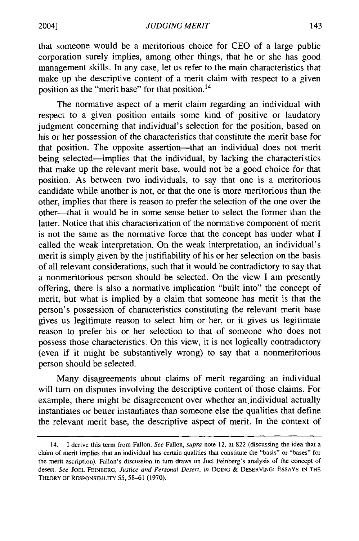that someone would be a meritorious choice for CEO of a large public corporation surely implies, among other things, that he or she has good management skills. In any case, let us refer to the main characteristics that make up the descriptive content of a merit claim with respect to a given position as the "merit base" for that position. <sup>14</sup>

The normative aspect of a merit claim regarding an individual with respect to a given position entails some kind of positive or laudatory judgment concerning that individual's selection for the position, based on his or her possession of the characteristics that constitute the merit base for that position. The opposite assertion--that an individual does not merit being selected-implies that the individual, by lacking the characteristics that make up the relevant merit base, would not be a good choice for that position. As between two individuals, to say that one is a meritorious candidate while another is not, or that the one is more meritorious than the other, implies that there is reason to prefer the selection of the one over the other-that it would be in some sense better to select the former than the latter. Notice that this characterization of the normative component of merit is not the same as the normative force that the concept has under what I called the weak interpretation. On the weak interpretation, an individual's merit is simply given by the justifiability of his or her selection on the basis of all relevant considerations, such that it would be contradictory to say that a nonmeritorious person should be selected. On the view I am presently offering, there is also a normative implication "built into" the concept of merit, but what is implied by a claim that someone has merit is that the person's possession of characteristics constituting the relevant merit base gives us legitimate reason to select him or her, or it gives us legitimate reason to prefer his or her selection to that of someone who does not possess those characteristics. On this view, it is not logically contradictory (even if it might be substantively wrong) to say that a nonmeritorious person should be selected.

Many disagreements about claims of merit regarding an individual will turn on disputes involving the descriptive content of those claims. For example, there might be disagreement over whether an individual actually instantiates or better instantiates than someone else the qualities that define the relevant merit base, the descriptive aspect of merit. In the context of

<sup>14.</sup> I derive this term from Fallon. See Fallon, supra note 12, at 822 (discussing the idea that a claim of merit implies that an individual has certain qualities that constitute the "basis" or "bases" for the merit ascription). Fallon's discussion in turn draws on Joel Feinberg's analysis of the concept of desert. See **JOEL** FEINBERG, Justice and *Personal Desert, in* **DOING** & **DESERVING: ESSAYS IN** THE THEORY OF RESPONSIBILITY 55, 58-61 (1970).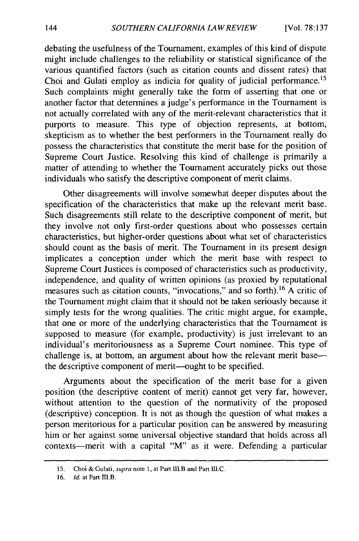debating the usefulness of the Tournament, examples of this kind of dispute might include challenges to the reliability or statistical significance of the various quantified factors (such as citation counts and dissent rates) that Choi and Gulati employ as indicia for quality of judicial performance.<sup>15</sup> Such complaints might generally take the form of asserting that one or another factor that determines a judge's performance in the Tournament is not actually correlated with any of the merit-relevant characteristics that it purports to measure. This type of objection represents, at bottom, skepticism as to whether the best performers in the Tournament really do possess the characteristics that constitute the merit base for the position of Supreme Court Justice. Resolving this kind of challenge is primarily a matter of attending to whether the Tournament accurately picks out those individuals who satisfy the descriptive component of merit claims.

Other disagreements will involve somewhat deeper disputes about the specification of the characteristics that make up the relevant merit base. Such disagreements still relate to the descriptive component of merit, but they involve not only first-order questions about who possesses certain characteristics, but higher-order questions about what set of characteristics should count as the basis of merit. The Tournament in its present design implicates a conception under which the merit base with respect to Supreme Court Justices is composed of characteristics such as productivity, independence, and quality of written opinions (as proxied by reputational measures such as citation counts, "invocations," and so forth). 16 A critic of the Tournament might claim that it should not be taken seriously because it simply tests for the wrong qualities. The critic might argue, for example, that one or more of the underlying characteristics that the Tournament is supposed to measure (for example, productivity) is just irrelevant to an individual's meritoriousness as a Supreme Court nominee. This type of challenge is, at bottom, an argument about how the relevant merit base the descriptive component of merit-ought to be specified.

Arguments about the specification of the merit base for a given position (the descriptive content of merit) cannot get very far, however, without attention to the question of the normativity of the proposed (descriptive) conception. It is not as though the question of what makes a person meritorious for a particular position can be answered by measuring him or her against some universal objective standard that holds across all contexts-merit with a capital "M" as it were. Defending a particular

<sup>15.</sup> Choi & Gulati, *supra* note **1,** at Part I1.B and Part **II.C.**

<sup>16.</sup> *Id.* at Part M.B.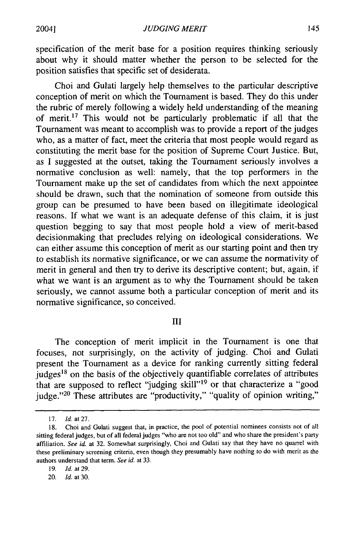specification of the merit base for a position requires thinking seriously about why it should matter whether the person to be selected for the position satisfies that specific set of desiderata.

Choi and Gulati largely help themselves to the particular descriptive conception of merit on which the Tournament is based. They do this under the rubric of merely following a widely held understanding of the meaning of merit.17 This would not be particularly problematic if all that the Tournament was meant to accomplish was to provide a report of the judges who, as a matter of fact, meet the criteria that most people would regard as constituting the merit base for the position of Supreme Court Justice. But, as I suggested at the outset, taking the Tournament seriously involves a normative conclusion as well: namely, that the top performers in the Tournament make up the set of candidates from which the next appointee should be drawn, such that the nomination of someone from outside this group can be presumed to have been based on illegitimate ideological reasons. If what we want is an adequate defense of this claim, it is just question begging to say that most people hold a view of merit-based decisionmaking that precludes relying on ideological considerations. We can either assume this conception of merit as our starting point and then try to establish its normative significance, or we can assume the normativity of merit in general and then try to derive its descriptive content; but, again, if what we want is an argument as to why the Tournament should be taken seriously, we cannot assume both a particular conception of merit and its normative significance, so conceived.

### **HI**

The conception of merit implicit in the Tournament is one that focuses, not surprisingly, on the activity of judging. Choi and Gulati present the Tournament as a device for ranking currently sitting federal judges<sup>18</sup> on the basis of the objectively quantifiable correlates of attributes that are supposed to reflect "judging skill"<sup>19</sup> or that characterize a "good judge."<sup>20</sup> These attributes are "productivity," "quality of opinion writing,"

<sup>17.</sup> *Id.* at 27.

<sup>18.</sup> Choi and Gulati suggest that, in practice, the pool of potential nominees consists not of all sitting federal judges, but of all federal judges "who are not too old" and who share the president's party affiliation. *See id.* at 32. Somewhat surprisingly, Choi and Gulati say that they have no quarrel with these preliminary screening criteria, even though they presumably have nothing to do with merit as the authors understand that term. *See id.* at 33.

<sup>19.</sup> *ld. at* 29.

<sup>20.</sup> *Id.* at 30.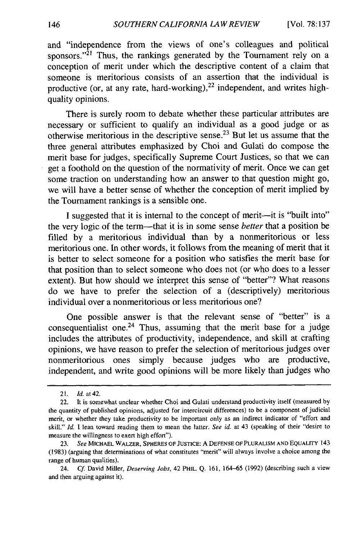and "independence from the views of one's colleagues and political sponsors."<sup>21</sup> Thus, the rankings generated by the Tournament rely on a conception of merit under which the descriptive content of a claim that someone is meritorious consists of an assertion that the individual is productive (or, at any rate, hard-working), $^{22}$  independent, and writes highquality opinions.

There is surely room to debate whether these particular attributes are necessary or sufficient to qualify an individual as a good judge or as otherwise meritorious in the descriptive sense. 23 But let us assume that the three general attributes emphasized by Choi and Gulati do compose the merit base for judges, specifically Supreme Court Justices, so that we can get a foothold on the question of the normativity of merit. Once we can get some traction on understanding how an answer to that question might go, we will have a better sense of whether the conception of merit implied by the Tournament rankings is a sensible one.

I suggested that it is internal to the concept of merit-it is "built into" the very logic of the term-that it is in some sense *better* that a position be filled by a meritorious individual than by a nonmeritorious or less meritorious one. In other words, it follows from the meaning of merit that it is better to select someone for a position who satisfies the merit base for that position than to select someone who does not (or who does to a lesser extent). But how should we interpret this sense of "better"? What reasons do we have to prefer the selection of a (descriptively) meritorious individual over a nonmeritorious or less meritorious one?

One possible answer is that the relevant sense of "better" is a consequentialist one.<sup>24</sup> Thus, assuming that the merit base for a judge includes the attributes of productivity, independence, and skill at crafting opinions, we have reason to prefer the selection of meritorious judges over nonmeritorious ones simply because judges who are productive, independent, and write good opinions will be more likely than judges who

<sup>21.</sup> **Id.** at42.

<sup>22.</sup> It is somewhat unclear whether Choi and Gulati understand productivity itself (measured by the quantity of published opinions, adjusted for intercircuit differences) to be a component of judicial merit, or whether they take productivity to be important only as an indirect indicator of "effort and skill." *Id.* I lean toward reading them to mean the latter. *See id.* at 43 (speaking of their "desire to measure the willingness to exert high effort").

<sup>23.</sup> *See* MICHAEL WALZER, SPHERES OF JUSTICE: A DEFENSE OF PLURALISM **AND** EQUALITY 143 (1983) (arguing that determinations of what constitutes "merit" will always involve a choice among the range of human qualities).

<sup>24.</sup> *Cf* David Miller, *Deserving Jobs,* 42 PHIL. Q. 161, 164-65 (1992) (describing such a view and then arguing against it).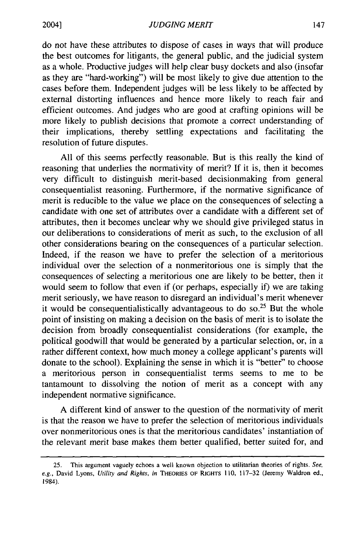do not have these attributes to dispose of cases in ways that will produce the best outcomes for litigants, the general public, and the judicial system as a whole. Productive judges will help clear busy dockets and also (insofar as they are "hard-working") will be most likely to give due attention to the cases before them. Independent judges will be less likely to be affected by external distorting influences and hence more likely to reach fair and efficient outcomes. And judges who are good at crafting opinions will be more likely to publish decisions that promote a correct understanding of their implications, thereby settling expectations and facilitating the resolution of future disputes.

All of this seems perfectly reasonable. But is this really the kind of reasoning that underlies the normativity of merit? **If** it is, then it becomes very difficult to distinguish merit-based decisionmaking from general consequentialist reasoning. Furthermore, if the normative significance of merit is reducible to the value we place on the consequences of selecting a candidate with one set of attributes over a candidate with a different set of attributes, then it becomes unclear why we should give privileged status in our deliberations to considerations of merit as such, to the exclusion of all other considerations bearing on the consequences of a particular selection. Indeed, if the reason we have to prefer the selection of a meritorious individual over the selection of a nonmeritorious one is simply that the consequences of selecting a meritorious one are likely to be better, then it would seem to follow that even if (or perhaps, especially if) we are taking merit seriously, we have reason to disregard an individual's merit whenever it would be consequentialistically advantageous to do **so.25** But the whole point of insisting on making a decision on the basis of merit is to isolate the decision from broadly consequentialist considerations (for example, the political goodwill that would be generated by a particular selection, or, in a rather different context, how much money a college applicant's parents will donate to the school). Explaining the sense in which it is "better" to choose a meritorious person in consequentialist terms seems to me to be tantamount to dissolving the notion of merit as a concept with any independent normative significance.

A different kind of answer to the question of the normativity of merit is that the reason we have to prefer the selection of meritorious individuals over nonmeritorious ones is that the meritorious candidates' instantiation of the relevant merit base makes them better qualified, better suited for, and

<sup>25.</sup> This argument vaguely echoes a well known objection to utilitarian theories of rights. *See, e.g.,* David Lyons, *Utility and Rights, in* THEORIES OF RIGHTS 110, 117-32 (Jeremy Waldron ed., 1984).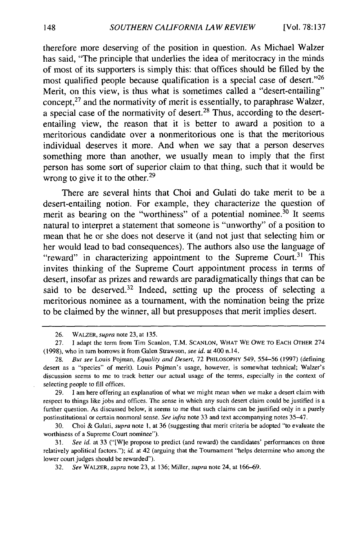therefore more deserving of the position in question. As Michael Walzer has said, "The principle that underlies the idea of meritocracy in the minds of most of its supporters is simply this: that offices should be filled by the most qualified people because qualification is a special case of desert."<sup>26</sup> Merit, on this view, is thus what is sometimes called a "desert-entailing" concept, $27$  and the normativity of merit is essentially, to paraphrase Walzer, a special case of the normativity of desert.<sup>28</sup> Thus, according to the desertentailing view, the reason that it is better to award a position to a meritorious candidate over a nonmeritorious one is that the meritorious individual deserves it more. And when we say that a person deserves something more than another, we usually mean to imply that the first person has some sort of superior claim to that thing, such that it would be wrong to give it to the other. $29$ 

There are several hints that Choi and Gulati do take merit to be a desert-entailing notion. For example, they characterize the question of merit as bearing on the "worthiness" of a potential nominee. $30$  It seems natural to interpret a statement that someone is "unworthy" of a position to mean that he or she does not deserve it (and not just that selecting him or her would lead to bad consequences). The authors also use the language of "reward" in characterizing appointment to the Supreme Court.<sup>31</sup> This invites thinking of the Supreme Court appointment process in terms of desert, insofar as prizes and rewards are paradigmatically things that can be said to be deserved.<sup>32</sup> Indeed, setting up the process of selecting a meritorious nominee as a tournament, with the nomination being the prize to be claimed by the winner, all but presupposes that merit implies desert.

<sup>26.</sup> WALZER, *supra* note 23, at 135.

<sup>27.</sup> I adapt the term from Tim Scanlon, T.M. **SCANLON,** WHAT WE OWE TO **EACH** OTHER 274 (1998), who in turn borrows it from Galen Strawson, see *id.* at 400 n. 14.

<sup>28.</sup> But see Louis Pojman, Equality and Desert, 72 PHILOSOPHY 549, 554-56 (1997) (defining desert as a "species" of merit). Louis Pojman's usage, however, is somewhat technical; Walzer's discussion seems to me to track better our actual usage of the terms, especially in the context of selecting people to fill offices.

<sup>29.</sup> **1** am here offering an explanation of what we might mean when we make a desert claim with respect to things like jobs and offices. The sense in which any such desert claim could be justified is a further question. As discussed below, it seems to me that such claims can be justified only in a purely postinstitutional or certain nonmoral sense. See infra note 33 and text accompanying notes 35-47.

<sup>30.</sup> Choi & Gulati, supra note **1,** at 36 (suggesting that merit criteria be adopted "to evaluate the worthiness of a Supreme Court nominee").

<sup>31.</sup> See id. at 33 ("[W]e propose to predict (and reward) the candidates' performances on three relatively apolitical factors."); id. at 42 (arguing that the Tournament "helps determine who among the lower court judges should be rewarded").

<sup>32.</sup> See WALZER, supra note 23, at 136; Miller, supra note 24, at 166-69.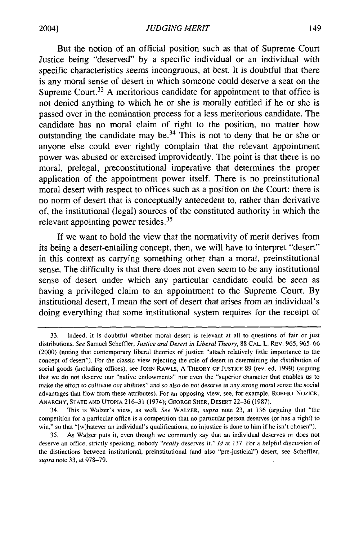But the notion of an official position such as that of Supreme Court Justice being "deserved" by a specific individual or an individual with specific characteristics seems incongruous, at best. It is doubtful that there is any moral sense of desert in which someone could deserve a seat on the Supreme Court.<sup>33</sup> A meritorious candidate for appointment to that office is not denied anything to which he or she is morally entitled if he or she is passed over in the nomination process for a less meritorious candidate. The candidate has no moral claim of fight to the position, no matter how outstanding the candidate may be.<sup>34</sup> This is not to deny that he or she or anyone else could ever rightly complain that the relevant appointment power was abused or exercised improvidently. The point is that there is no moral, prelegal, preconstitutional imperative that determines the proper application of the appointment power itself. There is no preinstitutional moral desert with respect to offices such as a position on the Court: there is no norm of desert that is conceptually antecedent to, rather than derivative of, the institutional (legal) sources of the constituted authority in which the relevant appointing power resides. $35$ 

**If** we want to hold the view that the normativity of merit derives from its being a desert-entailing concept, then, we will have to interpret "desert" in this context as carrying something other than a moral, preinstitutional sense. The difficulty is that there does not even seem to be any institutional sense of desert under which any particular candidate could be seen as having a privileged claim to an appointment to the Supreme Court. By institutional desert, I mean the sort of desert that arises from an individual's doing everything that some institutional system requires for the receipt of

<sup>33.</sup> Indeed, it is doubtful whether moral desert is relevant at all to questions of fair or just distributions. *See* Samuel Scheffler, *Justice and Desert in Liberal Theory,* 88 CAL. L. REV. 965, 965-66 (2000) (noting that contemporary liberal theories of justice "attach relatively little importance to the concept of desert"). For the classic view rejecting the role of desert in determining the distribution of social goods (including offices), see JOHN RAWLS, A THEORY OF **JUSTICE** 89 (rev. ed. 1999) (arguing that we do not deserve our "native endowments" nor even the "superior character that enables us to make the effort to cultivate our abilities" and so also do not deserve in any strong moral sense the social advantages that flow from these attributes). For an opposing view, see, for example, ROBERT NOZICK, ANARCHY, STATE AND UTOPIA 216-31 (1974); **GEORGE** SHER, DESERT 22-36 (1987).

<sup>34.</sup> This is Walzer's view, as well. *See* WALZER, *supra* note 23, at 136 (arguing that "the competition for a particular office is a competition that no particular person deserves (or has a right) to win," so that "[w]hatever an individual's qualifications, no injustice is done to him if he isn't chosen").

<sup>35.</sup> As Walzer puts it, even though we commonly say that an individual deserves or does not deserve an office, strictly speaking, nobody *"really* deserves it." *id* at 137. For a helpful discussion of the distinctions between institutional, preinstitutional (and also "pre-justicial") desert, see Scheffler, *supra* note 33, at 978-79.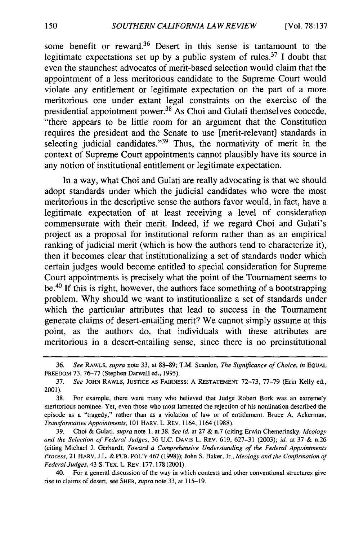some benefit or reward.<sup>36</sup> Desert in this sense is tantamount to the legitimate expectations set up by a public system of rules.<sup>37</sup> I doubt that even the staunchest advocates of merit-based selection would claim that the appointment of a less meritorious candidate to the Supreme Court would violate any entitlement or legitimate expectation on the part of a more meritorious one under extant legal constraints on the exercise of the presidential appointment power.<sup>38</sup> As Choi and Gulati themselves concede, "there appears to be little room for an argument that the Constitution requires the president and the Senate to use [merit-relevant] standards in selecting judicial candidates."<sup>39</sup> Thus, the normativity of merit in the context of Supreme Court appointments cannot plausibly have its source in any notion of institutional entitlement or legitimate expectation.

In a way, what Choi and Gulati are really advocating is that we should adopt standards under which the judicial candidates who were the most meritorious in the descriptive sense the authors favor would, in fact, have a legitimate expectation of at least receiving a level of consideration commensurate with their merit. Indeed, if we regard Choi and Gulati's project as a proposal for institutional reform rather than as an empirical ranking of judicial merit (which is how the authors tend to characterize it), then it becomes clear that institutionalizing a set of standards under which certain judges would become entitled to special consideration for Supreme Court appointments is precisely what the point of the Tournament seems to be.<sup>40</sup> If this is right, however, the authors face something of a bootstrapping problem. Why should we want to institutionalize a set of standards under which the particular attributes that lead to success in the Tournament generate claims of desert-entailing merit? We cannot simply assume at this point, as the authors do, that individuals with these attributes are meritorious in a desert-entailing sense, since there is no preinstitutional

40. For a general discussion of the way in which contests and other conventional structures give rise to claims of desert, see SHER, *supra* note 33, at 115-19.

<sup>36.</sup> *See* RAWLS, *supra* note 33, at 88-89; T.M. Scanlon, *The Significance of Choice, in* **EQUAL** FREEDOM 73, 76-77 (Stephen Darwall ed., 1995).

<sup>37.</sup> *See* JOHN RAWLS, JUSTICE AS FAIRNESS: A RESTATEMENT 72-73, 77-79 (Erin Kelly ed., 2001).

<sup>38.</sup> For example, there were many who believed that Judge Robert Bork was an extremely meritorious nominee. Yet, even those who most lamented the rejection of his nomination described the episode as a "tragedy," rather than as a violation of law or of entitlement. Bruce A. Ackerman, *Transformative Appointments,* 101 IARV. L. REV. 1164, 1164 (1988).

<sup>39.</sup> Choi & Gulati, *supra* note **1,** at 38. *See id.* at 27 & n.7 (citing Erwin Chemerinsky, *Ideology and the Selection of Federal Judges,* 36 U.C. DAVIS L. REV. 619, 627-31 (2003); *id.* at 37 & n.26 (citing Michael J. Gerhardt, *Toward a Comprehensive Understanding of the Federal Appointments Process,* 21 HARV. J.L. & PUB. POL'Y 467 (1998)); John S. Baker, Jr., *Ideology and the Confirmation of Federal Judges,* 43 **S.** TEx. L. REV. 177, 178 (2001).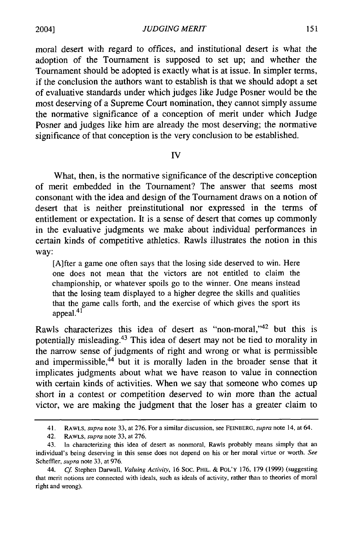*JUDGING MERIT*

moral desert with regard to offices, and institutional desert is what the adoption of the Tournament is supposed to set up; and whether the Tournament should be adopted is exactly what is at issue. In simpler terms, if the conclusion the authors want to establish is that we should adopt a set of evaluative standards under which judges like Judge Posner would be the most deserving of a Supreme Court nomination, they cannot simply assume the normative significance of a conception of merit under which Judge Posner and judges like him are already the most deserving; the normative significance of that conception is the very conclusion to be established.

#### **IV**

What, then, is the normative significance of the descriptive conception of merit embedded in the Tournament? The answer that seems most consonant with the idea and design of the Tournament draws on a notion of desert that is neither preinstitutional nor expressed in the terms of entitlement or expectation. It is a sense of desert that comes up commonly in the evaluative judgments we make about individual performances in certain kinds of competitive athletics. Rawls illustrates the notion in this way:

[A]fter a game one often says that the losing side deserved to win. Here one does not mean that the victors are not entitled to claim the championship, or whatever spoils go to the winner. One means instead that the losing team displayed to a higher degree the skills and qualities that the game calls forth, and the exercise of which gives the sport its appeal.<sup>41</sup>

Rawls characterizes this idea of desert as "non-moral,"<sup>42</sup> but this is potentially misleading.43 This idea of desert may not be tied to morality in the narrow sense of judgments of right and wrong or what is permissible and impermissible,<sup>44</sup> but it is morally laden in the broader sense that it implicates judgments about what we have reason to value in connection with certain kinds of activities. When we say that someone who comes up short in a contest or competition deserved to win more than the actual victor, we are making the judgment that the loser has a greater claim to

2004]

<sup>41.</sup> RAWLS, *supra* note 33, at 276. For a similar discussion, see FEINBERG, *supra* note 14, at 64.

<sup>42.</sup> RAWLS, *supra* note 33, at 276.

<sup>43.</sup> In characterizing this idea of desert as nonmoral, Rawls probably means simply that an individual's being deserving in this sense does not depend on his or her moral virtue or worth. *See* Scheffler, *supra* note 33, at 976.

<sup>44.</sup> *Cf* Stephen Darwall, *Valuing Activiy,* 16 SOC. PHIL. & **POL'Y** 176, 179 (1999) (suggesting that merit notions are connected with ideals, such as ideals of activity, rather than to theories of moral right and wrong).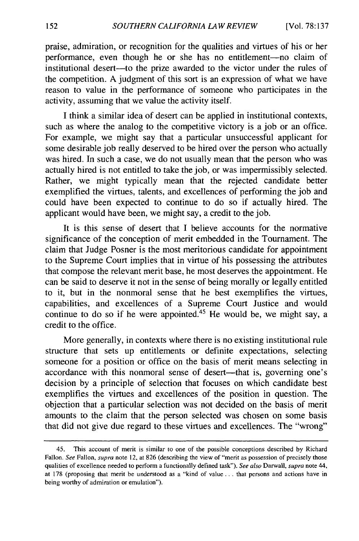praise, admiration, or recognition for the qualities and virtues of his or her performance, even though he or she has no entitlement--no claim of institutional desert-to the prize awarded to the victor under the rules of the competition. A judgment of this sort is an expression of what we have reason to value in the performance of someone who participates in the activity, assuming that we value the activity itself.

I think a similar idea of desert can be applied in institutional contexts, such as where the analog to the competitive victory is a job or an office. For example, we might say that a particular unsuccessful applicant for some desirable job really deserved to be hired over the person who actually was hired. In such a case, we do not usually mean that the person who was actually hired is not entitled to take the job, or was impermissibly selected. Rather, we might typically mean that the rejected candidate better exemplified the virtues, talents, and excellences of performing the job and could have been expected to continue to do so if actually hired. The applicant would have been, we might say, a credit to the job.

It is this sense of desert that I believe accounts for the normative significance of the conception of merit embedded in the Tournament. The claim that Judge Posner is the most meritorious candidate for appointment to the Supreme Court implies that in virtue of his possessing the attributes that compose the relevant merit base, he most deserves the appointment. He can be said to deserve it not in the sense of being morally or legally entitled to it, but in the nonmoral sense that he best exemplifies the virtues, capabilities, and excellences of a Supreme Court Justice and would continue to do so if he were appointed. $45$  He would be, we might say, a credit to the office.

More generally, in contexts where there is no existing institutional rule structure that sets up entitlements or definite expectations, selecting someone for a position or office on the basis of merit means selecting in accordance with this nonmoral sense of desert—that is, governing one's decision by a principle of selection that focuses on which candidate best exemplifies the virtues and excellences of the position in question. The objection that a particular selection was not decided on the basis of merit amounts to the claim that the person selected was chosen on some basis that did not give due regard to these virtues and excellences. The "wrong"

<sup>45.</sup> This account of merit is similar to one of the possible conceptions described by Richard Fallon. *See* Fallon, *supra* note 12, at 826 (describing the view of "merit as possession of precisely those qualities of excellence needed to perform a functionally defined task"). *See also* Darwall, *supra* note 44, at 178 (proposing that merit be understood as a "kind of value **...** that persons and actions have in being worthy of admiration or emulation").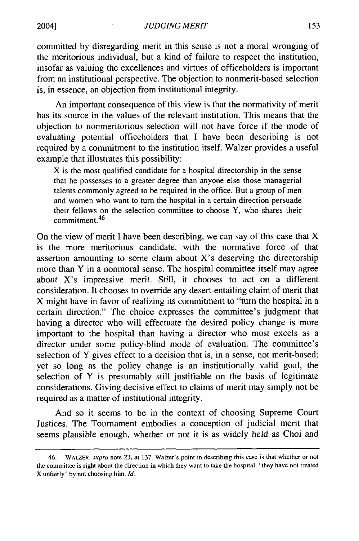committed by disregarding merit in this sense is not a moral wronging of the meritorious individual, but a kind of failure to respect the institution, insofar as valuing the excellences and virtues of officeholders is important from an institutional perspective. The objection to nonmerit-based selection is, in essence, an objection from institutional integrity.

An important consequence of this view is that the normativity of merit has its source in the values of the relevant institution. This means that the objection to nonmeritorious selection will not have force if the mode of evaluating potential officeholders that I have been describing is not required by a commitment to the institution itself. Walzer provides a useful example that illustrates this possibility:

X is the most qualified candidate for a hospital directorship in the sense that he possesses to a greater degree than anyone else those managerial talents commonly agreed to be required in the office. But a group of men and women who want to turn the hospital in a certain direction persuade their fellows on the selection committee to choose Y, who shares their commitment.<sup>46</sup>

On the view of merit I have been describing, we can say of this case that X is the more meritorious candidate, with the normative force of that assertion amounting to some claim about X's deserving the directorship more than Y in a nonmoral sense. The hospital committee itself may agree about X's impressive merit. Still, it chooses to act on a different consideration. It chooses to override any desert-entailing claim of merit that X might have in favor of realizing its commitment to "turn the hospital in a certain direction." The choice expresses the committee's judgment that having a director who will effectuate the desired policy change is more important to the hospital than having a director who most excels as a director under some policy-blind mode of evaluation. The committee's selection of Y gives effect to a decision that is, in a sense, not merit-based; yet so long as the policy change is an institutionally valid goal, the selection of Y is presumably still justifiable on the basis of legitimate considerations. Giving decisive effect to claims of merit may simply not be required as a matter of institutional integrity.

And so it seems to be in the context of choosing Supreme Court Justices. The Tournament embodies a conception of judicial merit that seems plausible enough, whether or not it is as widely held as Choi and

<sup>46.</sup> WALZER, supra note 23, at 137. Walzer's point in describing this case is that whether or not the committee is right about the direction in which they want to take the hospital, "they have not treated X unfairly" by not choosing him. *Id.*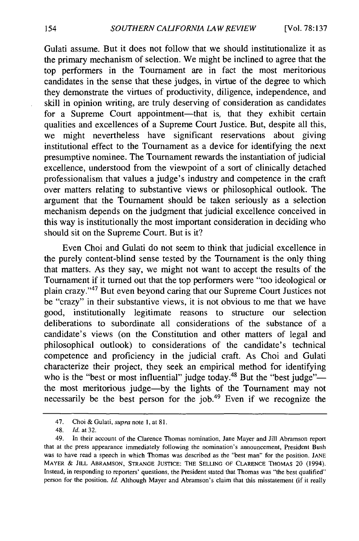Gulati assume. But it does not follow that we should institutionalize it as the primary mechanism of selection. We might be inclined to agree that the top performers in the Tournament are in fact the most meritorious candidates in the sense that these judges, in virtue of the degree to which they demonstrate the virtues of productivity, diligence, independence, and skill in opinion writing, are truly deserving of consideration as candidates for a Supreme Court appointment-that is, that they exhibit certain qualities and excellences of a Supreme Court Justice. But, despite all this, we might nevertheless have significant reservations about giving institutional effect to the Tournament as a device for identifying the next presumptive nominee. The Tournament rewards the instantiation of judicial excellence, understood from the viewpoint of a sort of clinically detached professionalism that values a judge's industry and competence in the craft over matters relating to substantive views or philosophical outlook. The argument that the Tournament should be taken seriously as a selection mechanism depends on the judgment that judicial excellence conceived in this way is institutionally the most important consideration in deciding who should sit on the Supreme Court. But is it?

Even Choi and Gulati do not seem to think that judicial excellence in the purely content-blind sense tested by the Tournament is the only thing that matters. As they say, we might not want to accept the results of the Tournament if it turned out that the top performers were "too ideological or plain crazy."47 But even beyond caring that our Supreme Court Justices not be "crazy" in their substantive views, it is not obvious to me that we have good, institutionally legitimate reasons to structure our selection deliberations to subordinate all considerations of the substance of a candidate's views (on the Constitution and other matters of legal and philosophical outlook) to considerations of the candidate's technical competence and proficiency in the judicial craft. As Choi and Gulati characterize their project, they seek an empirical method for identifying who is the "best or most influential" judge today.<sup>48</sup> But the "best judge"the most meritorious judge-by the lights of the Tournament may not necessarily be the best person for the job.<sup>49</sup> Even if we recognize the

<sup>47.</sup> Choi & Gulati, supra note **1,** at 81.

<sup>48.</sup> *Id.* at 32.

<sup>49.</sup> In their account of the Clarence Thomas nomination, Jane Mayer and Jill Abramson report that at the press appearance immediately following the nomination's announcement, President Bush was to have read a speech in which Thomas was described as the "best man" for the position. **JANE** MAYER **& JILL** ABRAMSON, **STRANGE JUSTICE:** THE **SELLING** OF **CLARENCE** THOMAS 20 (1994). Instead, in responding to reporters' questions, the President stated that Thomas was "the best qualified" person for the position. *Id.* Although Mayer and Abramson's claim that this misstatement (if it really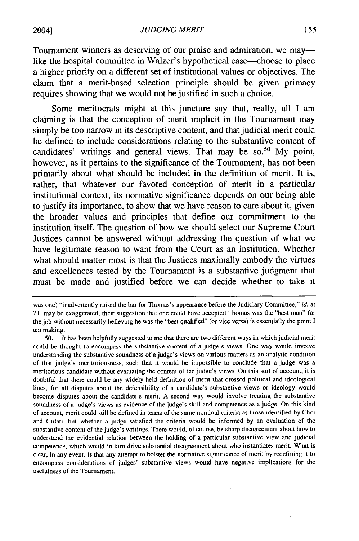Tournament winners as deserving of our praise and admiration, we maylike the hospital committee in Walzer's hypothetical case—choose to place a higher priority on a different set of institutional values or objectives. The claim that a merit-based selection principle should be given primacy requires showing that we would not be justified in such a choice.

Some meritocrats might at this juncture say that, really, all **I** am claiming is that the conception of merit implicit in the Tournament may simply be too narrow in its descriptive content, and that judicial merit could be defined to include considerations relating to the substantive content of candidates' writings and general views. That may be so.<sup>50</sup> My point, however, as it pertains to the significance of the Tournament, has not been primarily about what should be included in the definition of merit. It is, rather, that whatever our favored conception of merit in a particular institutional context, its normative significance depends on our being able to justify its importance, to show that we have reason to care about it, given the broader values and principles that define our commitment to the institution itself. The question of how we should select our Supreme Court Justices cannot be answered without addressing the question of what we have legitimate reason to want from the Court as an institution. Whether what should matter most is that the Justices maximally embody the virtues and excellences tested **by** the Tournament is a substantive judgment that must be made and justified before we can decide whether to take it

was one) "inadvertently raised the bar for Thomas's appearance before the Judiciary Committee," id. at **21,** may be exaggerated, their suggestion that one could have accepted Thomas was the "best man" for the **job** without necessarily believing he was the "best qualified" (or vice versa) is essentially the point **I** am making.

**<sup>50.</sup>** It has been helpfully suggested to me that there are two different ways in which judicial merit could be thought to encompass the substantive content of a judge's views. One way would involve understanding the substantive soundness of a judge's views on various matters as an analytic condition of that judge's meritoriousness, such that it would be impossible to conclude that a judge was a meritorious candidate without evaluating the content of the judge's views. On this sort of account, it is doubtful that there could be any widely held definition of merit that crossed political and ideological lines, for all disputes about the defensibility of a candidate's substantive views or ideology would become disputes about the candidate's merit. **A** second way would involve treating the substantive soundness of a judge's views as evidence of the judge's skill and competence as a judge. On this kind of account, merit could still be defined in terms of the same nominal criteria as those identified **by** Choi and Gulati, but whether a judge satisfied the criteria would be informed **by** an evaluation of the substantive content of the judge's writings. There would, of course, be sharp disagreement about how to understand the evidential relation between the holding of a particular substantive view and judicial competence, which would in **tum** drive substantial disagreement about who instantiates merit. What is clear, in any event, is that any attempt to bolster the normative significance of merit **by** redefining it to encompass considerations of judges' substantive views would have negative implications for the usefulness of the Tournament.